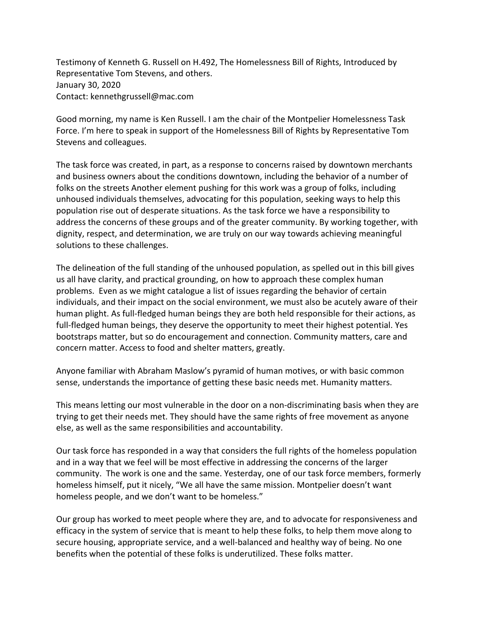Testimony of Kenneth G. Russell on H.492, The Homelessness Bill of Rights, Introduced by Representative Tom Stevens, and others. January 30, 2020 Contact: kennethgrussell@mac.com

Good morning, my name is Ken Russell. I am the chair of the Montpelier Homelessness Task Force. I'm here to speak in support of the Homelessness Bill of Rights by Representative Tom Stevens and colleagues.

The task force was created, in part, as a response to concerns raised by downtown merchants and business owners about the conditions downtown, including the behavior of a number of folks on the streets Another element pushing for this work was a group of folks, including unhoused individuals themselves, advocating for this population, seeking ways to help this population rise out of desperate situations. As the task force we have a responsibility to address the concerns of these groups and of the greater community. By working together, with dignity, respect, and determination, we are truly on our way towards achieving meaningful solutions to these challenges.

The delineation of the full standing of the unhoused population, as spelled out in this bill gives us all have clarity, and practical grounding, on how to approach these complex human problems. Even as we might catalogue a list of issues regarding the behavior of certain individuals, and their impact on the social environment, we must also be acutely aware of their human plight. As full-fledged human beings they are both held responsible for their actions, as full-fledged human beings, they deserve the opportunity to meet their highest potential. Yes bootstraps matter, but so do encouragement and connection. Community matters, care and concern matter. Access to food and shelter matters, greatly.

Anyone familiar with Abraham Maslow's pyramid of human motives, or with basic common sense, understands the importance of getting these basic needs met. Humanity matters.

This means letting our most vulnerable in the door on a non-discriminating basis when they are trying to get their needs met. They should have the same rights of free movement as anyone else, as well as the same responsibilities and accountability.

Our task force has responded in a way that considers the full rights of the homeless population and in a way that we feel will be most effective in addressing the concerns of the larger community. The work is one and the same. Yesterday, one of our task force members, formerly homeless himself, put it nicely, "We all have the same mission. Montpelier doesn't want homeless people, and we don't want to be homeless."

Our group has worked to meet people where they are, and to advocate for responsiveness and efficacy in the system of service that is meant to help these folks, to help them move along to secure housing, appropriate service, and a well-balanced and healthy way of being. No one benefits when the potential of these folks is underutilized. These folks matter.